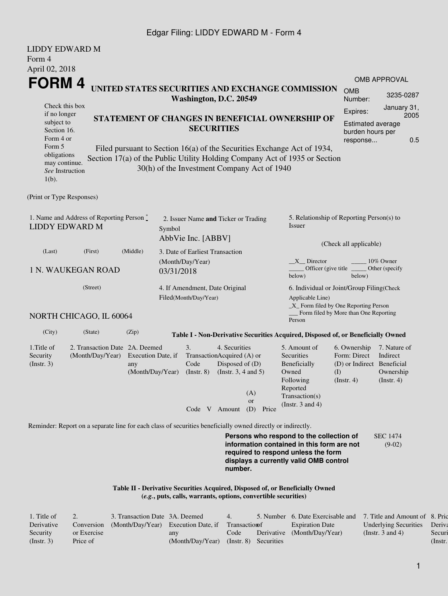## Edgar Filing: LIDDY EDWARD M - Form 4

| <b>LIDDY EDWARD M</b>                                                                                       |                                                                                                                                                                                                                                                                                                                                    |                                                         |            |                                                            |                                                                                                                                                  |                                                                |                                                                                                                                                                         |                                                                                       |                                                           |  |  |
|-------------------------------------------------------------------------------------------------------------|------------------------------------------------------------------------------------------------------------------------------------------------------------------------------------------------------------------------------------------------------------------------------------------------------------------------------------|---------------------------------------------------------|------------|------------------------------------------------------------|--------------------------------------------------------------------------------------------------------------------------------------------------|----------------------------------------------------------------|-------------------------------------------------------------------------------------------------------------------------------------------------------------------------|---------------------------------------------------------------------------------------|-----------------------------------------------------------|--|--|
| Form 4<br>April 02, 2018                                                                                    |                                                                                                                                                                                                                                                                                                                                    |                                                         |            |                                                            |                                                                                                                                                  |                                                                |                                                                                                                                                                         |                                                                                       |                                                           |  |  |
| FORM 4                                                                                                      |                                                                                                                                                                                                                                                                                                                                    |                                                         |            |                                                            |                                                                                                                                                  |                                                                |                                                                                                                                                                         |                                                                                       | <b>OMB APPROVAL</b>                                       |  |  |
|                                                                                                             |                                                                                                                                                                                                                                                                                                                                    |                                                         |            | Washington, D.C. 20549                                     |                                                                                                                                                  |                                                                | UNITED STATES SECURITIES AND EXCHANGE COMMISSION                                                                                                                        | <b>OMB</b><br>Number:                                                                 | 3235-0287                                                 |  |  |
| if no longer<br>subject to<br>Section 16.<br>Form 4 or<br>Form 5<br>obligations<br>$1(b)$ .                 | Check this box<br>STATEMENT OF CHANGES IN BENEFICIAL OWNERSHIP OF<br><b>SECURITIES</b><br>Filed pursuant to Section 16(a) of the Securities Exchange Act of 1934,<br>Section 17(a) of the Public Utility Holding Company Act of 1935 or Section<br>may continue.<br>30(h) of the Investment Company Act of 1940<br>See Instruction |                                                         |            |                                                            |                                                                                                                                                  |                                                                |                                                                                                                                                                         | January 31,<br>Expires:<br>Estimated average<br>burden hours per<br>response          |                                                           |  |  |
| (Print or Type Responses)                                                                                   |                                                                                                                                                                                                                                                                                                                                    |                                                         |            |                                                            |                                                                                                                                                  |                                                                |                                                                                                                                                                         |                                                                                       |                                                           |  |  |
| 1. Name and Address of Reporting Person $\stackrel{*}{\mathbb{L}}$<br><b>LIDDY EDWARD M</b>                 |                                                                                                                                                                                                                                                                                                                                    |                                                         | Symbol     | 2. Issuer Name and Ticker or Trading<br>AbbVie Inc. [ABBV] |                                                                                                                                                  |                                                                | 5. Relationship of Reporting Person(s) to<br>Issuer<br>(Check all applicable)                                                                                           |                                                                                       |                                                           |  |  |
| (Last)                                                                                                      | (First)                                                                                                                                                                                                                                                                                                                            | (Middle)                                                |            | 3. Date of Earliest Transaction                            |                                                                                                                                                  |                                                                |                                                                                                                                                                         |                                                                                       |                                                           |  |  |
| <b>1 N. WAUKEGAN ROAD</b>                                                                                   |                                                                                                                                                                                                                                                                                                                                    |                                                         | 03/31/2018 | (Month/Day/Year)                                           |                                                                                                                                                  |                                                                | $X$ Director<br>10% Owner<br>Officer (give title<br>Other (specify<br>below)<br>below)                                                                                  |                                                                                       |                                                           |  |  |
| (Street)                                                                                                    |                                                                                                                                                                                                                                                                                                                                    | 4. If Amendment, Date Original<br>Filed(Month/Day/Year) |            |                                                            | 6. Individual or Joint/Group Filing(Check<br>Applicable Line)<br>_X_ Form filed by One Reporting Person<br>Form filed by More than One Reporting |                                                                |                                                                                                                                                                         |                                                                                       |                                                           |  |  |
| NORTH CHICAGO, IL 60064                                                                                     |                                                                                                                                                                                                                                                                                                                                    |                                                         |            |                                                            |                                                                                                                                                  |                                                                | Person                                                                                                                                                                  |                                                                                       |                                                           |  |  |
| (City)                                                                                                      | (State)                                                                                                                                                                                                                                                                                                                            | (Zip)                                                   |            |                                                            |                                                                                                                                                  |                                                                | Table I - Non-Derivative Securities Acquired, Disposed of, or Beneficially Owned                                                                                        |                                                                                       |                                                           |  |  |
| 1. Title of<br>Security<br>(Insert. 3)                                                                      | 2. Transaction Date 2A. Deemed<br>(Month/Day/Year)                                                                                                                                                                                                                                                                                 | Execution Date, if<br>any<br>(Month/Day/Year)           |            | 3.<br>Code<br>$($ Instr. 8 $)$                             | 4. Securities<br>TransactionAcquired (A) or<br>Disposed of (D)<br>(Instr. $3, 4$ and $5$ )<br>Code V Amount                                      | (A)<br><sub>or</sub><br>(D)<br>Price                           | 5. Amount of<br>Securities<br>Beneficially<br>Owned<br>Following<br>Reported<br>Transaction(s)<br>(Instr. $3$ and $4$ )                                                 | 6. Ownership<br>Form: Direct<br>(D) or Indirect Beneficial<br>(I)<br>$($ Instr. 4 $)$ | 7. Nature of<br>Indirect<br>Ownership<br>$($ Instr. 4 $)$ |  |  |
| Reminder: Report on a separate line for each class of securities beneficially owned directly or indirectly. |                                                                                                                                                                                                                                                                                                                                    |                                                         |            |                                                            |                                                                                                                                                  |                                                                |                                                                                                                                                                         |                                                                                       |                                                           |  |  |
|                                                                                                             |                                                                                                                                                                                                                                                                                                                                    |                                                         |            |                                                            | number.                                                                                                                                          |                                                                | Persons who respond to the collection of<br>information contained in this form are not<br>required to respond unless the form<br>displays a currently valid OMB control |                                                                                       | <b>SEC 1474</b><br>$(9-02)$                               |  |  |
|                                                                                                             |                                                                                                                                                                                                                                                                                                                                    |                                                         |            |                                                            |                                                                                                                                                  | (e.g., puts, calls, warrants, options, convertible securities) | Table II - Derivative Securities Acquired, Disposed of, or Beneficially Owned                                                                                           |                                                                                       |                                                           |  |  |

| 1. Title of |             | 3. Transaction Date 3A. Deemed                 |                                        | 4.             | 5. Number 6. Date Exercisable and | 7. Title and Amount of 8. Pric |         |
|-------------|-------------|------------------------------------------------|----------------------------------------|----------------|-----------------------------------|--------------------------------|---------|
| Derivative  |             | Conversion (Month/Day/Year) Execution Date, if |                                        | Transaction of | <b>Expiration Date</b>            | Underlying Securities Deriva   |         |
| Security    | or Exercise |                                                | any                                    | Code           | Derivative (Month/Day/Year)       | (Instr. 3 and 4)               | Securi  |
| (Insert. 3) | Price of    |                                                | (Month/Day/Year) (Instr. 8) Securities |                |                                   |                                | (Instr. |